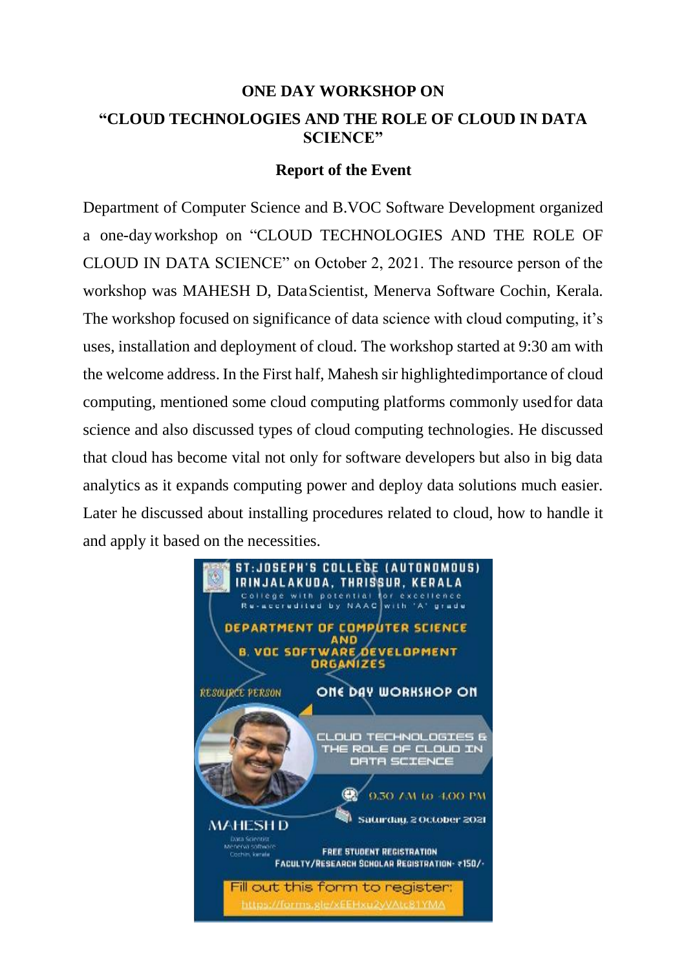## **ONE DAY WORKSHOP ON "CLOUD TECHNOLOGIES AND THE ROLE OF CLOUD IN DATA SCIENCE"**

## **Report of the Event**

Department of Computer Science and B.VOC Software Development organized a one-dayworkshop on "CLOUD TECHNOLOGIES AND THE ROLE OF CLOUD IN DATA SCIENCE" on October 2, 2021. The resource person of the workshop was MAHESH D, DataScientist, Menerva Software Cochin, Kerala. The workshop focused on significance of data science with cloud computing, it's uses, installation and deployment of cloud. The workshop started at 9:30 am with the welcome address. In the First half, Mahesh sir highlightedimportance of cloud computing, mentioned some cloud computing platforms commonly usedfor data science and also discussed types of cloud computing technologies. He discussed that cloud has become vital not only for software developers but also in big data analytics as it expands computing power and deploy data solutions much easier. Later he discussed about installing procedures related to cloud, how to handle it and apply it based on the necessities.